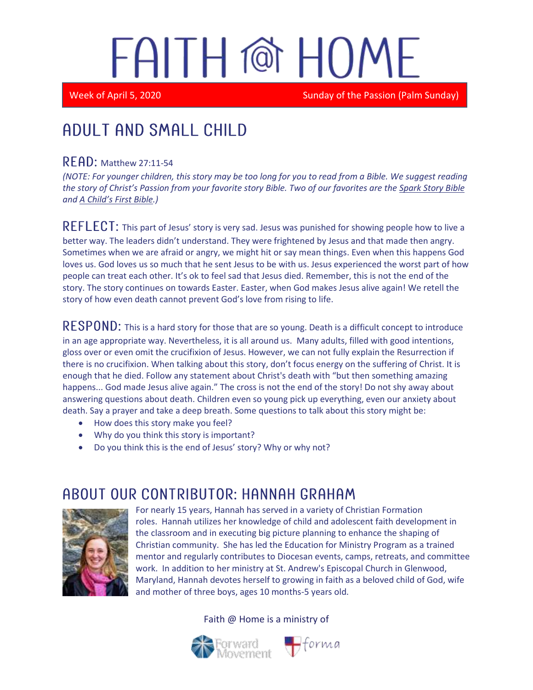# FAITH @ HOME

Week of April 5, 2020 Sunday of the Passion (Palm Sunday)

## Adult and Small Child

#### $READ:$  Matthew 27:11-54

*(NOTE: For younger children, this story may be too long for you to read from a Bible. We suggest reading the story of Christ's Passion from your favorite story Bible. Two of our favorites are the Spark Story Bible and A Child's First Bible.)*

REFLECT: This part of Jesus' story is very sad. Jesus was punished for showing people how to live a better way. The leaders didn't understand. They were frightened by Jesus and that made then angry. Sometimes when we are afraid or angry, we might hit or say mean things. Even when this happens God loves us. God loves us so much that he sent Jesus to be with us. Jesus experienced the worst part of how people can treat each other. It's ok to feel sad that Jesus died. Remember, this is not the end of the story. The story continues on towards Easter. Easter, when God makes Jesus alive again! We retell the story of how even death cannot prevent God's love from rising to life.

RESPOND: This is a hard story for those that are so young. Death is a difficult concept to introduce in an age appropriate way. Nevertheless, it is all around us. Many adults, filled with good intentions, gloss over or even omit the crucifixion of Jesus. However, we can not fully explain the Resurrection if there is no crucifixion. When talking about this story, don't focus energy on the suffering of Christ. It is enough that he died. Follow any statement about Christ's death with "but then something amazing happens... God made Jesus alive again." The cross is not the end of the story! Do not shy away about answering questions about death. Children even so young pick up everything, even our anxiety about death. Say a prayer and take a deep breath. Some questions to talk about this story might be:

- How does this story make you feel?
- Why do you think this story is important?
- Do you think this is the end of Jesus' story? Why or why not?

### ABOUT OUR CONTRIBUTOR: HANNAH GRAHAM



For nearly 15 years, Hannah has served in a variety of Christian Formation roles. Hannah utilizes her knowledge of child and adolescent faith development in the classroom and in executing big picture planning to enhance the shaping of Christian community. She has led the Education for Ministry Program as a trained mentor and regularly contributes to Diocesan events, camps, retreats, and committee work. In addition to her ministry at St. Andrew's Episcopal Church in Glenwood, Maryland, Hannah devotes herself to growing in faith as a beloved child of God, wife and mother of three boys, ages 10 months-5 years old.

Faith @ Home is a ministry of

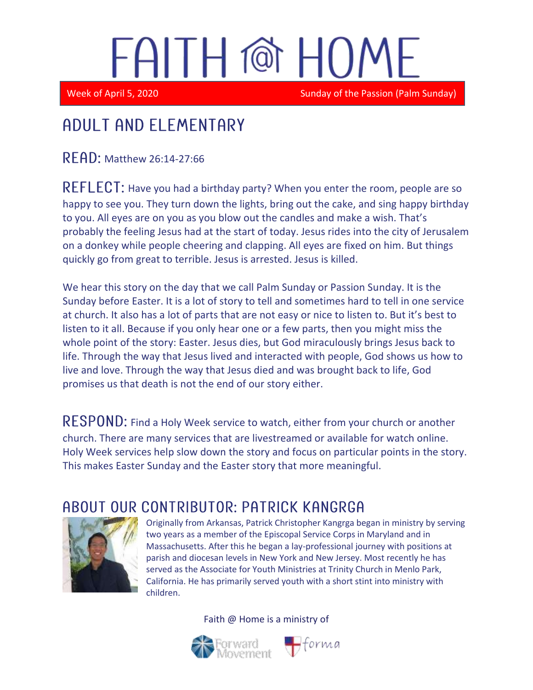# FAITH @ HOM

Week of April 5, 2020 Sunday of the Passion (Palm Sunday)

#### Adult and elementary

 $R$   $F$   $A$   $D$ : Matthew 26:14-27:66

REFLECT: Have you had a birthday party? When you enter the room, people are so happy to see you. They turn down the lights, bring out the cake, and sing happy birthday to you. All eyes are on you as you blow out the candles and make a wish. That's probably the feeling Jesus had at the start of today. Jesus rides into the city of Jerusalem on a donkey while people cheering and clapping. All eyes are fixed on him. But things quickly go from great to terrible. Jesus is arrested. Jesus is killed.

We hear this story on the day that we call Palm Sunday or Passion Sunday. It is the Sunday before Easter. It is a lot of story to tell and sometimes hard to tell in one service at church. It also has a lot of parts that are not easy or nice to listen to. But it's best to listen to it all. Because if you only hear one or a few parts, then you might miss the whole point of the story: Easter. Jesus dies, but God miraculously brings Jesus back to life. Through the way that Jesus lived and interacted with people, God shows us how to live and love. Through the way that Jesus died and was brought back to life, God promises us that death is not the end of our story either.

RESPOND: Find a Holy Week service to watch, either from your church or another church. There are many services that are livestreamed or available for watch online. Holy Week services help slow down the story and focus on particular points in the story. This makes Easter Sunday and the Easter story that more meaningful.

### ABOUT OUR CONTRIBUTOR: PATRICK KANGRGA



Originally from Arkansas, Patrick Christopher Kangrga began in ministry by serving two years as a member of the Episcopal Service Corps in Maryland and in Massachusetts. After this he began a lay-professional journey with positions at parish and diocesan levels in New York and New Jersey. Most recently he has served as the Associate for Youth Ministries at Trinity Church in Menlo Park, California. He has primarily served youth with a short stint into ministry with children.

Faith @ Home is a ministry of

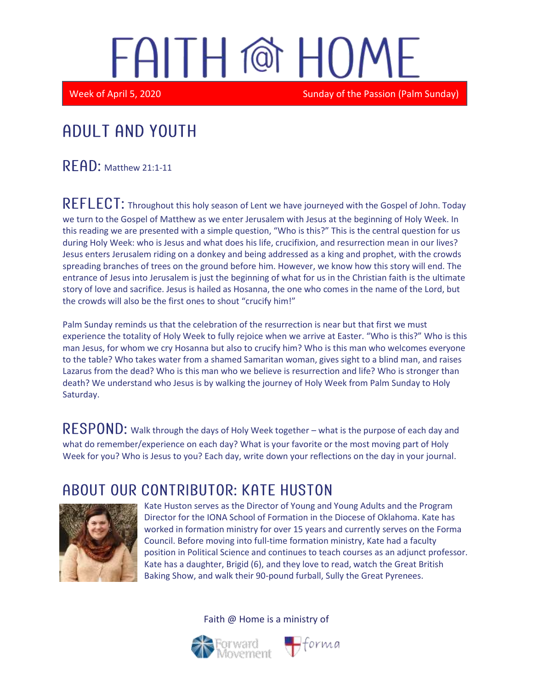# FAITH @ HOME

Week of April 5, 2020 Sunday of the Passion (Palm Sunday)

## Adult and youth

READ: Matthew 21:1-11

REFLECT: Throughout this holy season of Lent we have journeyed with the Gospel of John. Today we turn to the Gospel of Matthew as we enter Jerusalem with Jesus at the beginning of Holy Week. In this reading we are presented with a simple question, "Who is this?" This is the central question for us during Holy Week: who is Jesus and what does his life, crucifixion, and resurrection mean in our lives? Jesus enters Jerusalem riding on a donkey and being addressed as a king and prophet, with the crowds spreading branches of trees on the ground before him. However, we know how this story will end. The entrance of Jesus into Jerusalem is just the beginning of what for us in the Christian faith is the ultimate story of love and sacrifice. Jesus is hailed as Hosanna, the one who comes in the name of the Lord, but the crowds will also be the first ones to shout "crucify him!"

Palm Sunday reminds us that the celebration of the resurrection is near but that first we must experience the totality of Holy Week to fully rejoice when we arrive at Easter. "Who is this?" Who is this man Jesus, for whom we cry Hosanna but also to crucify him? Who is this man who welcomes everyone to the table? Who takes water from a shamed Samaritan woman, gives sight to a blind man, and raises Lazarus from the dead? Who is this man who we believe is resurrection and life? Who is stronger than death? We understand who Jesus is by walking the journey of Holy Week from Palm Sunday to Holy Saturday.

 $\mathsf{RESPOND:}$  Walk through the days of Holy Week together – what is the purpose of each day and what do remember/experience on each day? What is your favorite or the most moving part of Holy Week for you? Who is Jesus to you? Each day, write down your reflections on the day in your journal.

#### ABOUT OUR CONTRIBUTOR: KATE HUSTON



Kate Huston serves as the Director of Young and Young Adults and the Program Director for the IONA School of Formation in the Diocese of Oklahoma. Kate has worked in formation ministry for over 15 years and currently serves on the Forma Council. Before moving into full-time formation ministry, Kate had a faculty position in Political Science and continues to teach courses as an adjunct professor. Kate has a daughter, Brigid (6), and they love to read, watch the Great British Baking Show, and walk their 90-pound furball, Sully the Great Pyrenees.